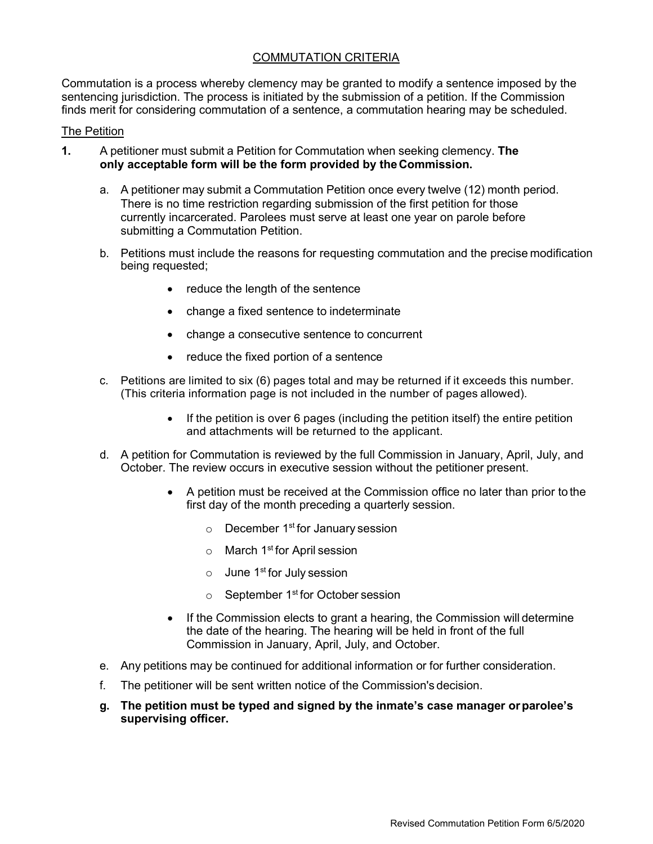## COMMUTATION CRITERIA

Commutation is a process whereby clemency may be granted to modify a sentence imposed by the sentencing jurisdiction. The process is initiated by the submission of a petition. If the Commission finds merit for considering commutation of a sentence, a commutation hearing may be scheduled.

## The Petition

- **1.** A petitioner must submit a Petition for Commutation when seeking clemency. **The only acceptable form will be the form provided by theCommission.**
	- a. A petitioner may submit a Commutation Petition once every twelve (12) month period. There is no time restriction regarding submission of the first petition for those currently incarcerated. Parolees must serve at least one year on parole before submitting a Commutation Petition.
	- b. Petitions must include the reasons for requesting commutation and the precise modification being requested;
		- reduce the length of the sentence
		- change a fixed sentence to indeterminate
		- change a consecutive sentence to concurrent
		- reduce the fixed portion of a sentence
	- c. Petitions are limited to six (6) pages total and may be returned if it exceeds this number. (This criteria information page is not included in the number of pages allowed).
		- If the petition is over 6 pages (including the petition itself) the entire petition and attachments will be returned to the applicant.
	- d. A petition for Commutation is reviewed by the full Commission in January, April, July, and October. The review occurs in executive session without the petitioner present.
		- A petition must be received at the Commission office no later than prior to the first day of the month preceding a quarterly session.
			- $\circ$  December 1<sup>st</sup> for January session
			- $\circ$  March 1<sup>st</sup> for April session
			- $\circ$  June 1<sup>st</sup> for July session
			- $\circ$  September 1<sup>st</sup> for October session
		- If the Commission elects to grant a hearing, the Commission will determine the date of the hearing. The hearing will be held in front of the full Commission in January, April, July, and October.
	- e. Any petitions may be continued for additional information or for further consideration.
	- f. The petitioner will be sent written notice of the Commission's decision.
	- **g. The petition must be typed and signed by the inmate's case manager orparolee's supervising officer.**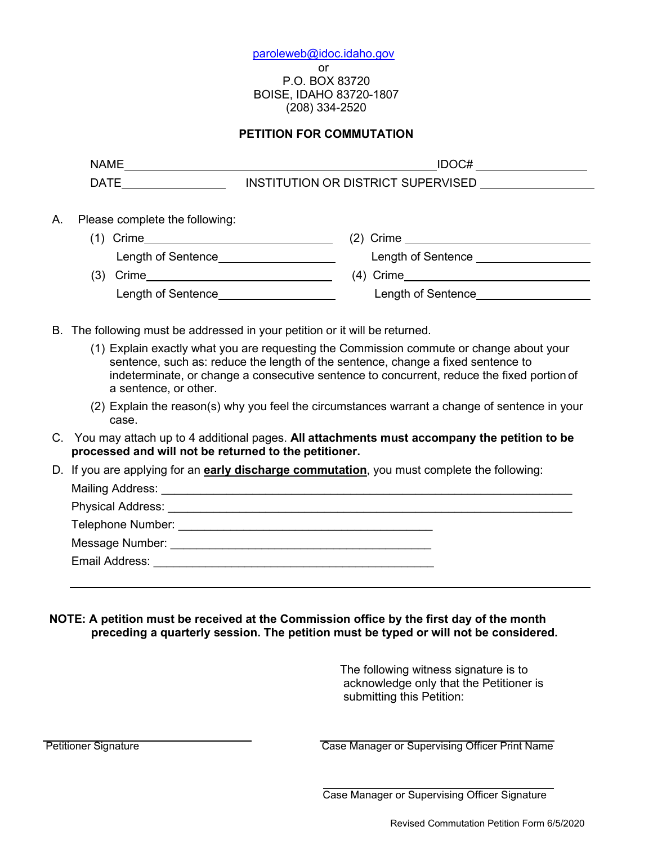[paroleweb@idoc.idaho.gov](mailto:paroleweb@idoc.idaho.gov) or P.O. BOX 83720 BOISE, IDAHO 83720-1807 (208) 334-2520

## **PETITION FOR COMMUTATION**

|    |                                                                                                                                                                                                                                                                                                    | IDOC#                                    |  |  |  |
|----|----------------------------------------------------------------------------------------------------------------------------------------------------------------------------------------------------------------------------------------------------------------------------------------------------|------------------------------------------|--|--|--|
|    | <b>DATE</b>                                                                                                                                                                                                                                                                                        | INSTITUTION OR DISTRICT SUPERVISED UNITS |  |  |  |
| A. | Please complete the following:                                                                                                                                                                                                                                                                     |                                          |  |  |  |
|    |                                                                                                                                                                                                                                                                                                    |                                          |  |  |  |
|    | Length of Sentence____________________                                                                                                                                                                                                                                                             | Length of Sentence ___________________   |  |  |  |
|    |                                                                                                                                                                                                                                                                                                    | $(4)$ Crime                              |  |  |  |
|    | Length of Sentence_____________________                                                                                                                                                                                                                                                            | Length of Sentence____________________   |  |  |  |
|    |                                                                                                                                                                                                                                                                                                    |                                          |  |  |  |
|    | B. The following must be addressed in your petition or it will be returned.                                                                                                                                                                                                                        |                                          |  |  |  |
|    | (1) Explain exactly what you are requesting the Commission commute or change about your<br>sentence, such as: reduce the length of the sentence, change a fixed sentence to<br>indeterminate, or change a consecutive sentence to concurrent, reduce the fixed portion of<br>a sentence, or other. |                                          |  |  |  |
|    | (2) Explain the reason(s) why you feel the circumstances warrant a change of sentence in your<br>case.                                                                                                                                                                                             |                                          |  |  |  |
|    | C. You may attach up to 4 additional pages. All attachments must accompany the petition to be<br>processed and will not be returned to the petitioner.                                                                                                                                             |                                          |  |  |  |
|    | D. If you are applying for an <b>early discharge commutation</b> , you must complete the following:                                                                                                                                                                                                |                                          |  |  |  |
|    |                                                                                                                                                                                                                                                                                                    |                                          |  |  |  |
|    |                                                                                                                                                                                                                                                                                                    |                                          |  |  |  |
|    |                                                                                                                                                                                                                                                                                                    |                                          |  |  |  |
|    |                                                                                                                                                                                                                                                                                                    |                                          |  |  |  |
|    | Email Address:                                                                                                                                                                                                                                                                                     |                                          |  |  |  |

**NOTE: A petition must be received at the Commission office by the first day of the month preceding a quarterly session. The petition must be typed or will not be considered.**

> The following witness signature is to acknowledge only that the Petitioner is submitting this Petition:

**Petitioner Signature Case Manager or Supervising Officer Print Name** 

Case Manager or Supervising Officer Signature